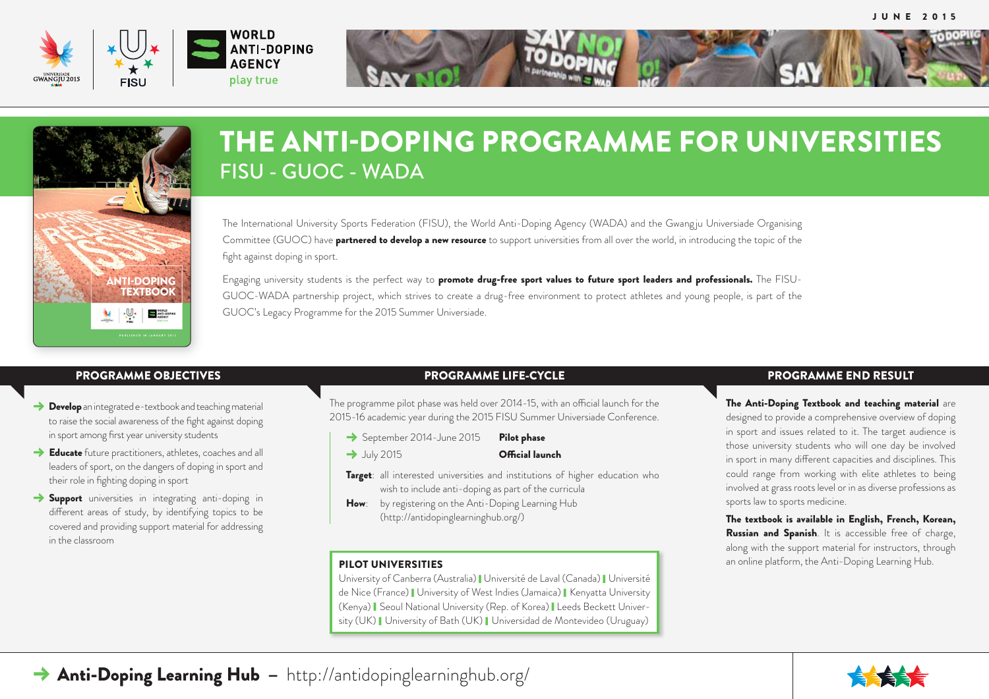





## THE ANTI-DOPING PROGRAMME FOR UNIVERSITIES FISU - GUOC - WADA

The International University Sports Federation (FISU), the World Anti-Doping Agency (WADA) and the Gwang ju Universiade Organising Committee (GUOC) have **partnered to develop a new resource** to support universities from all over the world, in introducing the topic of the fight against doping in sport.

Engaging university students is the perfect way to **promote drug-free sport values to future sport leaders and professionals.** The FISU-GUOC-WADA partnership project, which strives to create a drug-free environment to protect athletes and young people, is part of the GUOC's Legacy Programme for the 2015 Summer Universiade.

- $\rightarrow$  Develop an integrated e-textbook and teaching material to raise the social awareness of the fight against doping in sport among first year university students
- $\rightarrow$  Educate future practitioners, athletes, coaches and all leaders of sport, on the dangers of doping in sport and their role in fighting doping in sport
- $\rightarrow$  Support universities in integrating anti-doping in different areas of study, by identifying topics to be covered and providing support material for addressing in the classroom

## PROGRAMME OBJECTIVES PROGRAMME LIFE-CYCLE PROGRAMME END RESULT

The programme pilot phase was held over 2014-15, with an official launch for the 2015-16 academic year during the 2015 FISU Summer Universiade Conference.

- September 2014-June 2015 Pilot phase
- → July 2015 **Official launch**

**Target:** all interested universities and institutions of higher education who wish to include anti-doping as part of the curricula

How: by registering on the Anti-Doping Learning Hub (<http://antidopinglearninghub.org>/)

University of Canberra (Australia) | Université de Laval (Canada) | Université de Nice (France) | University of West Indies (Jamaica) | Kenyatta University (Kenya) Seoul National University (Rep. of Korea) Leeds Beckett University (UK) | University of Bath (UK) | Universidad de Montevideo (Uruguay)

The Anti-Doping Textbook and teaching material are designed to provide a comprehensive overview of doping in sport and issues related to it. The target audience is those university students who will one day be involved in sport in many different capacities and disciplines. This could range from working with elite athletes to being involved at grass roots level or in as diverse professions as sports law to sports medicine.

The textbook is available in English, French, Korean, Russian and Spanish. It is accessible free of charge, along with the support material for instructors, through **PILOT UNIVERSITIES and online platform, the Anti-Doping Learning Hub. and online platform, the Anti-Doping Learning Hub.**